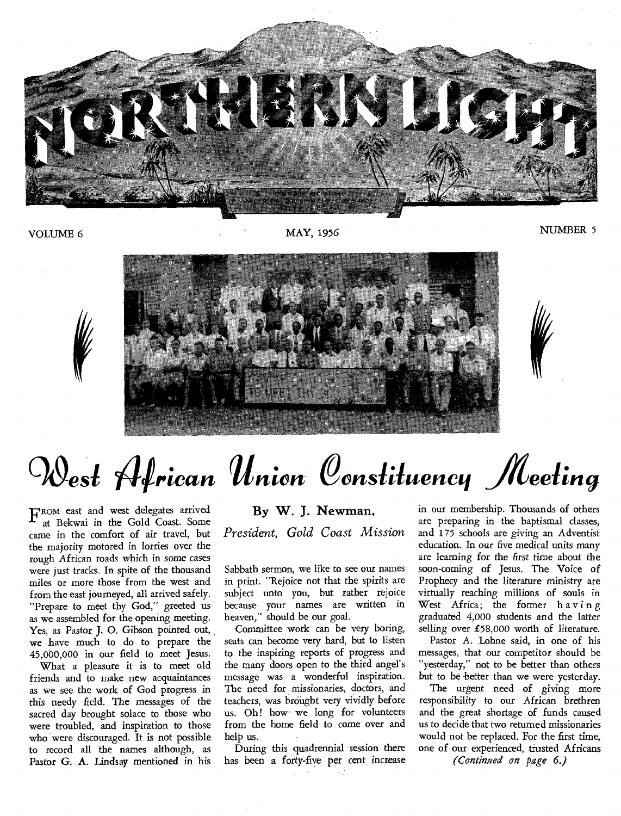

VOLUME 6 MAY, 1956 MAY, 1956 MUMBER 5



# *Cost African Union Constituency Meeting*

FROM east and west delegates arrived<br>at Bekwai in the Gold Coast. Some at Bekwai in the Gold Coast. Some came in the comfort of air travel, but the majority motored in lorries over the rough African roads which in some cases were just tracks. In spite of the thousand miles or more those from the west and from the east journeyed, all arrived safely. "Prepare to meet thy God," greeted us as we assembled for the opening meeting. Yes, as Pastor J. O. Gibson pointed out, we have much to do to prepare the 45,000,000 in our field to meet Jesus.

What a pleasure it is to meet old friends and to make new acquaintances as we see the work of God progress in this needy field. The messages of the sacred day brought solace to those who were troubled, and inspiration to those who were discouraged. It is not possible to record all the names although, as Pastor G. A. Lindsay mentioned in his

#### **By W. J. Newman,**

*President, Gold Coast Mission* 

Sabbath sermon, we like to see our names in print. "Rejoice not that the spirits are subject unto you, but rather rejoice because your names are written in heaven," should be our goal.

Committee work can be very boring, seats can become very hard, but to listen to the inspiring reports of progress and the many doors open to the third angel's message was a wonderful inspiration. The need for missionaries, doctors, and teachers, was brought very vividly before us. Oh! how we long for volunteers from the home field to come over and help us.

During this quadrennial session there has been a forty-five per cent increase in our membership. Thousands of others are preparing in the baptismal classes, and 175 schools are giving an Adventist education. In our five medical units many are learning for the first time about the soon-coming of Jesus. The Voice of Prophecy and the literature ministry are virtually reaching millions of souls in West Africa; the former having graduated 4,000 students and the latter selling over £58,000 worth of literature.

Pastor A. Lohne said, in one of his messages, that our competitor should be "yesterday," not to be better than others but to be better than we were yesterday.

The urgent need of giving more responsibility to our African brethren and the great shortage of funds caused us to decide that two returned missionaries would not be replaced. For the first time, one of our experienced, trusted Africans (Continued on page 6.)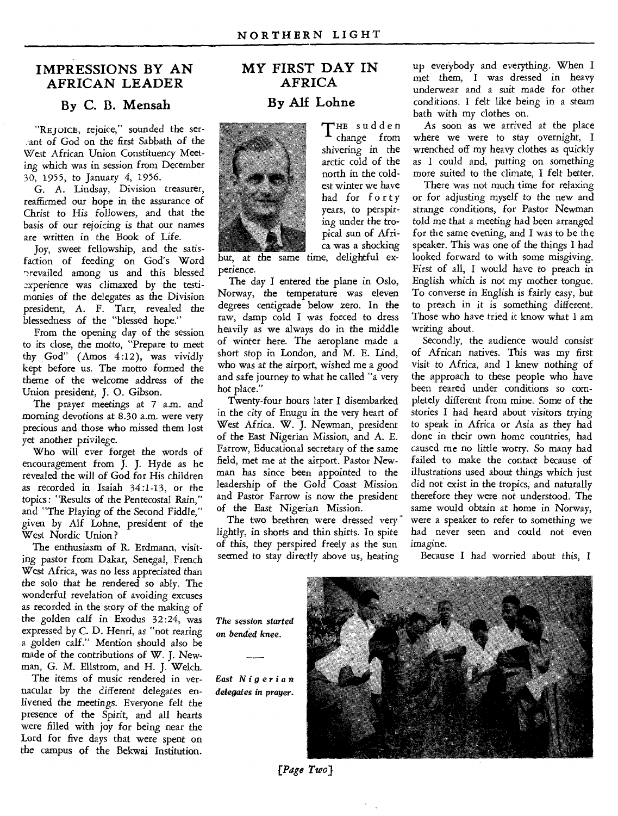#### **IMPRESSIONS BY AN AFRICAN LEADER**

#### **By C. B. Mensah**

"REJOICE, rejoice," sounded the ser--ant of God on the first Sabbath of the West African Union Constituency Meeting which was in session from December 30, 1955, to January 4, 1956.

G. A. Lindsay, Division treasurer, reaffirmed our hope in the assurance of Christ to His followers, and that the basis of our rejoicing is that our names are written in the Book of Life.

Joy, sweet fellowship, and the satisfaction of feeding on God's Word 'revailed among us and this blessed experience was climaxed by the testimonies of the delegates as the Division president, A. F. Tarr, revealed the blessedness of the "blessed hope."

From the opening day of the session to its close, the motto, "Prepare to meet thy God" (Amos 4 :12), was vividly kept before us. The motto formed the theme of the welcome address of the Union president, J. 0. Gibson.

The prayer meetings at 7 a.m. and morning devotions at 8.30 a.m. were very precious and those who missed them lost yet another privilege.

Who will ever forget the words of encouragement from J. J. Hyde as he revealed the will of God for His children as recorded in Isaiah 34:1-13, or the topics : "Results of the Pentecostal Rain," and "The Playing of the Second Fiddle," given by Alf Lohne, president of the West Nordic Union?

The enthusiasm of R. Erdmann, visiting pastor from Dakar, Senegal, French West Africa, was no less appreciated than the solo that he rendered so ably. The wonderful revelation of avoiding excuses as recorded in the story of the making of the golden calf in Exodus 32 :24, was expressed by C. D. Henri, as "not rearing a golden calf." Mention should also be made of the contributions of W. J. Newman, G. M. Ellstrom, and H. J. Welch.

The items of music rendered in vernacular by the different delegates enlivened the meetings. Everyone felt the presence of the Spirit, and all hearts were filled with joy for being near the Lord for five days that were spent on the campus of the Bekwai Institution.

#### **MY FIRST DAY IN AFRICA By Alf Lohne**



THE sudden change from shivering in the arctic cold of the north in the coldest winter we have had for forty years, to perspiring under the tropical sun of Africa was a shocking

but, at the same time, delightful experience.

The day I entered the plane in Oslo, Norway, the temperature was eleven degrees centigrade below zero. In the raw, damp cold I was forced to dress heavily as we always do in the middle of winter here. The aeroplane made a short stop in London, and M. E. Lind, who was at the airport, wished me a good and safe journey to what he called "a very hot place."

Twenty-four hours later I disembarked in the city of Enugu in the very heart of West Africa. W. J. Newman, president of the East Nigerian Mission, and A. E. Farrow, Educational secretary of the same field, met me at the airport. Pastor Newman has since been appointed to the leadership of the Gold Coast Mission and Pastor Farrow is now the president of the East Nigerian Mission.

The two brethren were dressed very lightly, in shorts and thin shirts. In spite of this, they perspired freely as the sun seemed to stay directly above us, heating

up everybody and everything. When I met them, I was dressed in heavy underwear and a suit made for other conditions. I felt like being in a steam bath with my clothes on.

As soon as we arrived at the place where we were to stay overnight, I wrenched off my heavy clothes as quickly as I could and, putting on something more suited to the climate, I felt better.

There was not much time for relaxing or for adjusting myself to the new and strange conditions, for Pastor Newman told me that a meeting had been arranged for the same evening, and I was to be the speaker. This was one of the things I had looked forward to with some misgiving. First of all, I would have to preach in English which is not my mother tongue. To converse in English is fairly easy, but to preach in it is something different. Those who have tried it know what I am writing about.

Secondly, the audience would consist of African natives. This was my first visit to Africa, and I knew nothing of the approach to these people who have been reared under conditions so completely different from mine. Some of the stories I had heard about visitors trying to speak in Africa or Asia as they had done in their own home countries, had caused me no little worry. So many had failed to make the contact because of illustrations used about things which just did not exist in the tropics, and naturally therefore they were not understood. The same would obtain at home in Norway, were a speaker to refer to something we had never seen and could not even imagine.

Because I had worried about this, I

*The session started on bended knee.* 

*East Nigerian delegates* in prayer.



*[Page Two)*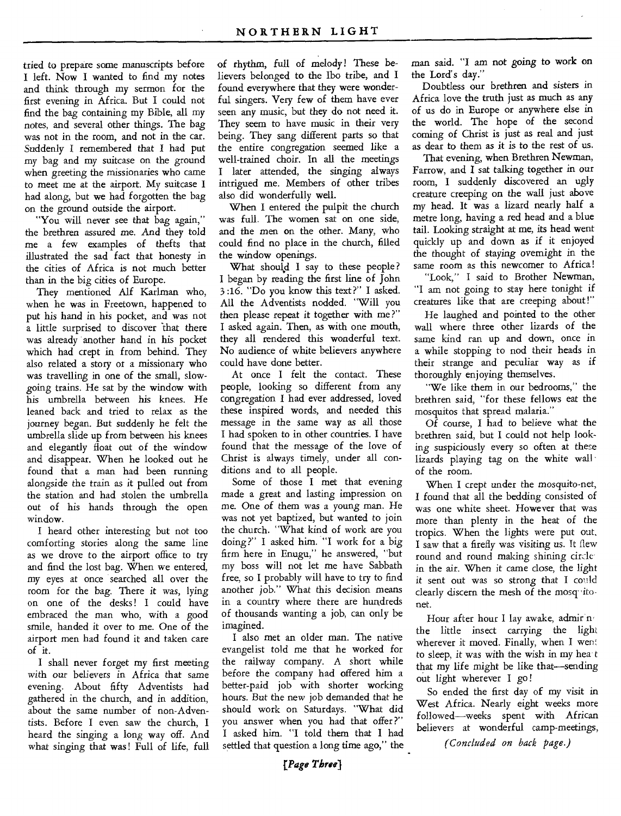tried to prepare some manuscripts before I left. Now I wanted to find my notes and think through my sermon for the first evening in Africa. But I could not find the bag containing my Bible, all my notes, and several other things. The bag was not in the room, and not in the car. Suddenly I remembered that I had put my bag and my suitcase on the ground when greeting the missionaries who came to meet me at the airport. My suitcase I had along, but we had forgotten the bag on the ground outside the airport.

"You will never see that bag again," the brethren assured me. And they told me a few examples of thefts that illustrated the sad fact that honesty in the cities of Africa is not much better than in the big cities of Europe.

They mentioned Alf Karlman who, when he was in Freetown, happened to put his hand in his pocket, and was not a little surprised to discover that there was already another hand in his pocket which had crept in from behind. They also related a story or a missionary who was travelling in one of the small, slowgoing trains. He sat by the window with his umbrella between his knees. He leaned back and tried to relax as the journey began. But suddenly he felt the umbrella slide up from between his knees and elegantly float out of the window and disappear. When he looked out he found that a man had been running alongside the train as it pulled out from the station and had stolen the umbrella out of his hands through the open window.

I heard other interesting but not too comforting stories along the same line as we drove to the airport office to try and find the lost bag. When we entered, my eyes at once searched all over the room for the bag. There it was, lying on one of the desks! I could have embraced the man who, with a good smile, handed it over to me. One of the airport men had found it and taken care of it.

I shall never forget my first meeting with our believers in Africa that *same*  evening. About fifty Adventists had gathered in the church, and in addition, about the same number of non-Adventists. Before I even saw the church, I heard the singing a long way off. And what singing that was! Full of life, full

of rhythm, full of melody! These believers belonged to the Ibo tribe, and I found everywhere that they were wonderful singers. Very few of them have ever seen any music, but they do not need it. They seem to have music in their very being. They sang different parts so that the entire congregation seemed like a well-trained choir. In all the meetings I later attended, the singing always intrigued me. Members of other tribes also did wonderfully well.

When I entered the pulpit the church was full. The women sat on one side, and the men on the other. Many, who could find no place in the church, filled the window openings.

What should I say to these people? I began by reading the first line of John 3:16. "Do you know this text?" I asked. All the Adventists nodded. "Will you then please repeat it together with me?" I asked again. Then, as with one mouth, they all rendered this wonderful text. No audience of white believers anywhere could have done better.

At once I felt the contact. These people, looking so different from any congregation I had ever addressed, loved these inspired words, and needed this message in the same way *as* all those I had spoken to in other countries. I have found that the message of the love of Christ is always timely, under all conditions and to all people.

Some of those I met that evening made a great and lasting impression on me. One of them was a young man. He was not yet baptized, but wanted to join the church. "What kind of work are you doing?" I asked him. "I work for a big firm here in Enugu," he answered, "but my boss will not let me have Sabbath free, so I probably will have to try to find another job." What this decision means in a country where there are hundreds of thousands wanting a job, can only be imagined.

I also met an older man. The native evangelist told me that he worked for the railway company. A short while before the company had offered him a better-paid job with shorter working hours. But the new job demanded that he should work on Saturdays. "What did you answer when you had that offer ?" I asked him. "I told them that I had settled that question a long time ago," the

man said. "I am not going to work on the Lord's day."

Doubtless our brethren and sisters in Africa love the truth just as much as any of us do in Europe or anywhere else in the world. The hope of the second coming of Christ is just as real and just *as* dear to them as it is to the rest of us.

That evening, when Brethren Newman, Farrow, and I sat talking together in our room, I suddenly discovered an ugly creature creeping on the wall just above my head. It was a lizard nearly half a metre long, having a red head and a blue tail. Looking straight at me, its head went quickly up and down as if it enjoyed the thought of *staying* overnight in the same room as this newcomer to Africa!

"Look," I said to Brother Newman, "I am not going to stay here tonight if creatures like that are creeping about!"

He laughed and pointed to the other wall where three other lizards of the same kind ran up and down, once in a while stopping to nod their heads in their strange and peculiar way as if thoroughly enjoying themselves.

"We like them in our bedrooms," the brethren said, "for these fellows eat the mosquitos that spread malaria."

Of course, I had to believe what the brethren said, but I could not help looking suspiciously every so often at these lizards playing tag on the white wall of the room.

When I crept under the mosquito-net, I found that all the bedding consisted of was one white sheet. However that was more than plenty in the heat of the tropics. When the lights were put out, I saw that a firefly was visiting us. It flew round and round making shining circle in the air. When it came close, the light it sent out was so strong that I could clearly discern the mesh of the mosq-itonet.

Hour after hour I lay awake, admir no the little insect carrying the light wherever it moved. Finally, when I went to sleep, it was with the wish *in* my hea t that my life might be like that—sending out light wherever I go !

So ended the first day of my visit in West Africa. Nearly eight weeks more followed—weeks spent with African believers at wonderful camp-meetings,

*(Concluded on back page.)*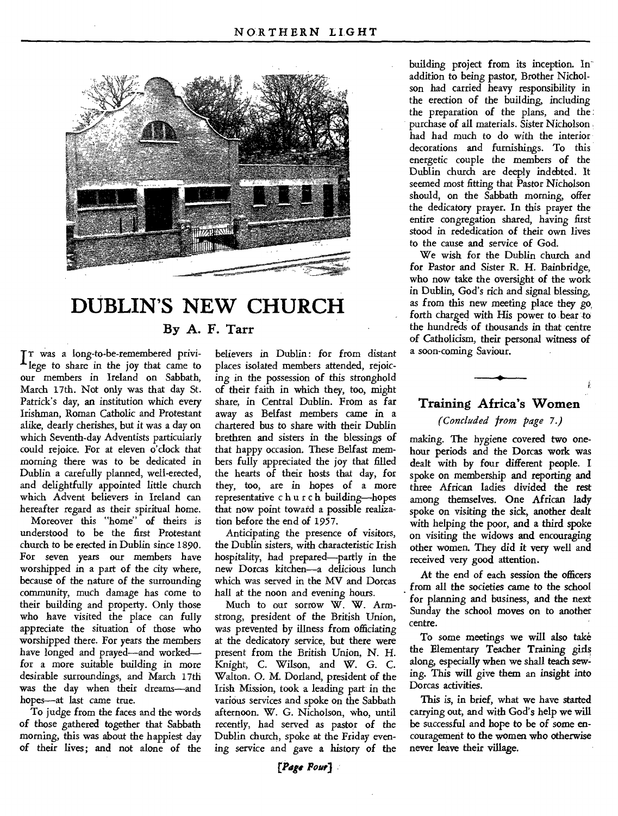

### **DUBLIN'S NEW CHURCH**

**By A. F. Tarr** 

IT was a long-to-be-remembered privi-<br>lege to share in the joy that came to lege to share in the joy that came to our members in Ireland on Sabbath, March 17th. Not only was that day St. Patrick's day, an institution which every Irishman, Roman Catholic and Protestant alike, dearly cherishes, but it was a day on which Seventh-day Adventists particularly could rejoice. For at eleven o'clock that morning there was to be dedicated in Dublin a carefully planned, well-erected, and delightfully appointed little church which Advent believers in Ireland can hereafter regard as their spiritual home.

Moreover this "home" of theirs is understood to be the first Protestant church to be erected in Dublin since 1890. For seven years our members have worshipped in a part of the city where, because of the nature of the surrounding community, much damage has come to their building and property. Only those who have visited the place can fully appreciate the situation of those who worshipped there. For years the members have longed and prayed—and worked for a more suitable building in more desirable surroundings, and March 17th was the day when their dreams—and hopes—at last came true.

To judge from the faces and the words of those gathered together that Sabbath morning, this was about the happiest day of their lives; and not alone of the

believers in Dublin: for from distant places isolated members attended, rejoicing in the possession of this stronghold of their faith in which they, too, might share, in Central Dublin. From as far away as Belfast members came in a chartered bus to share with their Dublin brethren and sisters in the blessings of that happy occasion. These Belfast members fully appreciated the joy that filled the hearts of their hosts that day, for they, too, are in hopes of a more representative church building—hopes that now point toward a possible realization before the end of 1957.

Anticipating the presence of visitors, the Dublin sisters, with characteristic Irish hospitality, had prepared—partly in the new Dorcas kitchen—a delicious lunch which was served in the MV and Dorcas hall at the noon and evening hours.

Much to our sorrow W. W. Armstrong, president of the British Union, was prevented by illness from officiating at the dedicatory service, but there were present from the British Union, N. H. Knight, C. Wilson, and W. G. C. Walton. 0. M. Dorland, president of the Irish Mission, took a leading part in the various services and spoke on the Sabbath afternoon. W. G. Nicholson, who, until recently, had served as pastor of the Dublin church, spoke at the Friday evening service and *gave a* history of the

building project from its inception. Inaddition to being pastor, Brother Nicholson had carried heavy responsibility in the erection of the building, including the preparation of the plans, and the purchase of all materials. Sister Nicholson had had much to do with the interior decorations and furnishings. To this energetic couple the members of the Dublin church are deeply indebted. It seemed most fitting that Pastor Nicholson should, on the Sabbath morning, offer the dedicatory prayer. In this prayer the entire congregation shared, having first stood in rededication of their own lives to the cause and service of God.

We wish for the Dublin church and for Pastor and Sister R. H. Bainbridge, who now take the oversight of the work in Dublin, God's rich and signal blessing, as from this new meeting place they go, forth charged with His power to bear to the hundreds of thousands in that centre of Catholicism, their personal witness of a soon-coming Saviour.

#### **Training Africa's Women**

#### *(Concluded from page* 7.)

making. The hygiene covered two onehour periods and the Dorcas work was dealt with by four different people. I spoke on membership and reporting and three African ladies divided the rest among themselves. One African lady spoke on visiting the sick, another dealt with helping the poor, and a third spoke on visiting the widows and encouraging other women. They did it very well and received very good attention.

At the end of each session the officers from all the societies came to the school for planning and business, and the next Sunday the school moves on to another centre.

To some meetings we will also take the Elementary Teacher Training girls along, especially when we shall teach sewing. This will *give* them an insight into Dorcas activities.

This is, in brief, what we have started carrying out, and with God's help we will be successful and hope to be of some encouragement to the women who otherwise never leave their village.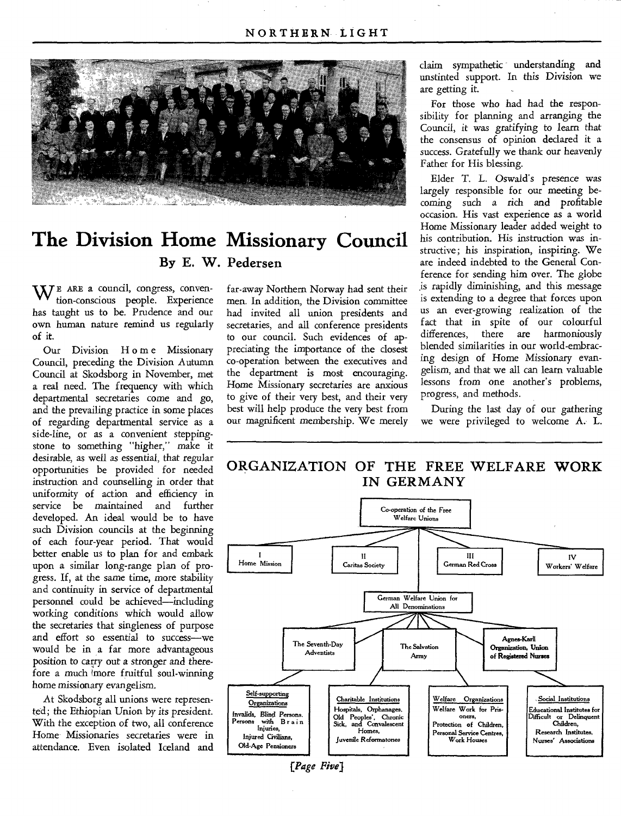

### **The Division Home Missionary Council By E. W. Pedersen**

WE **ARE** a council, congress, convention-conscious people. Experience has taught us to be. Prudence and our own human nature remind us regularly of **it.** 

Our Division H o m e Missionary Council, preceding the Division Autumn Council at Skodsborg in November, met a real need. The frequency with which departmental secretaries come and go, and the prevailing practice in some places of regarding departmental service as a side-line, or as a convenient steppingstone to something "higher," make it desirable, as well as *essential,* that regular opportunities be provided for needed instruction and counselling in order that uniformity of action and efficiency in service be maintained and further developed. An ideal would be to have such Division councils at the beginning of each four-year period. That would better enable us to plan for and embark upon a similar long-range plan of progress. If, at the same time, more stability and continuity in service of departmental personnel could be achieved—including working conditions which would allow the secretaries that singleness of purpose and effort so essential to success—we would be in a far more advantageous position to carry out a *stronger* and therefore a much imore fruitful soul-winning home missionary evangelism.

At Skodsborg all unions were represented; the Ethiopian Union by *its president.*  With the exception of two, all conference Home Missionaries secretaries were in attendance. Even isolated Iceland and

far-away Northern Norway had sent their men. In addition, the Division committee had invited all union presidents and secretaries, and all conference presidents to our council. Such evidences of appreciating the importance of the closest co-operation between the executives and the department is most encouraging. Home Missionary secretaries are anxious to give of their very best, and their very best will help produce the very best from our magnificent membership. We merely

claim sympathetic understanding and unstinted support. In this Division we are getting it.

For those who had had the responsibility for planning and arranging the Council, it was gratifying to learn that the consensus of opinion declared it a *success.* Gratefully we thank our heavenly Father for His blessing.

Elder T. L. Oswald's presence was largely responsible for our meeting becoming such a rich and profitable occasion. His vast experience as a world Home Missionary leader added weight to his contribution. His instruction was instructive; his inspiration, inspiring. We are indeed indebted to the General Conference for sending him over. The globe is rapidly diminishing, and this message is extending to a degree that forces upon us an ever-growing realization of the fact that in spite of our colourful<br>differences, there are harmoniously there are harmoniously blended similarities in our world-embracing design of Home Missionary evangelism, and that we all can learn valuable lessons from one another's problems, progress, and methods.

During the last day of our gathering we were privileged to welcome A. L.

#### **ORGANIZATION OF THE FREE WELFARE WORK IN GERMANY**

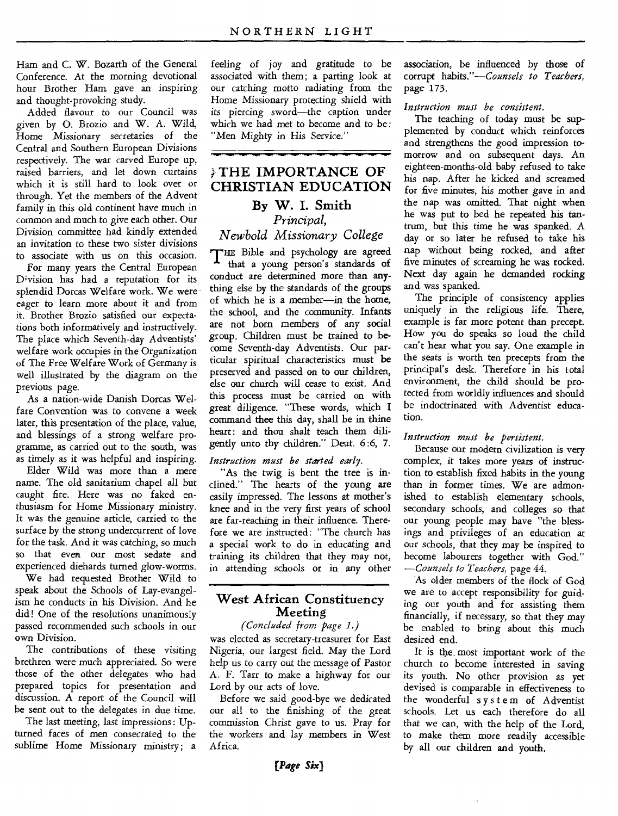Ham and C. W. Bozarth of the General Conference. At the morning devotional hour Brother Ham gave an inspiring and thought-provoking study.

Added flavour to our Council was given by 0. Brozio and W. A. Wild, Home Missionary secretaries of the Central and Southern European Divisions respectively. The war carved Europe up, raised barriers, and let down curtains which it is still hard to look over or through. Yet the members of the Advent family in this old continent have much in common and much to give each other. Our Division committee had kindly extended an invitation to these two sister divisions to associate with us on this occasion.

For many years the Central European D;vision has had a reputation for its splendid Dorcas Welfare work. We were eager to learn more about it and from it. Brother Brozio satisfied our expectations both informatively and instructively. The place which Seventh-day Adventists' welfare work occupies in the Organization of The Free Welfare Work of Germany is well illustrated by the diagram on the previous page.

As a nation-wide Danish Dorcas Welfare Convention was to convene a week later, this presentation of the place, value, and blessings of a strong welfare programme, as carried out to the south, was as timely as it was helpful and inspiring.

Elder Wild was more than a mere name. The old sanitarium chapel all but caught fire. Here was no faked enthusiasm for Home Missionary ministry. It was the genuine article, carried to the surface by the strong undercurrent of love for the task. And it was catching, so much so that even our most sedate and experienced diehards turned glow-worms.

We had requested Brother Wild to speak about the Schools of Lay-evangelism he conducts in his Division. And he did! One of the resolutions unanimously passed recommended such schools in our own Division.

The contributions of these visiting brethren were much appreciated. So were those of the other delegates who had prepared topics for presentation and discussion. A report of the Council will be sent out to the delegates in due time.

The last meeting, last impressions : Upturned faces of men consecrated to the sublime Home Missionary ministry; a

feeling of joy and gratitude to be associated with them; a parting look at our catching motto radiating from the Home Missionary protecting shield with its piercing sword—the caption under which we had met to become and to be: "Men Mighty in His Service."

#### **,} THE IMPORTANCE OF CHRISTIAN EDUCATION**

#### **By W. I. Smith**  *Principal,*

#### *Newbold Missionary College*

THE Bible and psychology are agreed that a young person's standards of conduct are determined more than anything else by the standards of the groups of which he is a member—in the home, the school, and the community. Infants are not born members of any social group. Children must be trained to become Seventh-day Adventists. Our particular spiritual characteristics must be preserved and passed on to our children, else our church will cease to exist. And this process must be carried on with great diligence. "These words, which I command thee this day, shall be in thine heart: and thou shalt teach them diligently unto thy children." Deut. 6:6, 7.

#### *Instruction must be started early.*

"As the twig is bent the tree is inclined." The hearts of the young are easily impressed. The lessons at mother's knee and in the very first years of school are far-reaching in their influence. Therefore we are instructed: "The church has a special work to do in educating and training its children that they may not, in attending schools or in any other

#### **West African Constituency Meeting**

#### *(Concluded from page 1.)*

was elected as secretary-treasurer for East Nigeria, our largest field. May the Lord help us to carry out the message of Pastor A. F. Tarr to make a highway for our Lord by our acts of love.

Before we said good-bye we dedicated our all to the finishing of the great commission Christ gave to us. Pray for the workers and lay members in West Africa.

association, be influenced by those of corrupt *habits."—Counsels to Teachers,*  page 173.

#### *Instruction must be consistent.*

The teaching of today must be supplemented by conduct which reinforces and strengthens the good impression tomorrow and on subsequent days. An eighteen-months-old baby refused to take his nap. After he kicked and screamed for five minutes, his mother gave in and the nap was omitted. That night when he was put to bed he repeated his tantrum, but this time he was spanked. A day or so later he refused to take his nap without being rocked, and after five minutes of screaming he was rocked. Next day again he demanded rocking and was spanked.

The principle of consistency applies uniquely in the religious life. There, example is far more potent than precept. How you do speaks so loud the child can't hear what you say. One example in the seats is worth ten precepts from the principal's desk. Therefore in his total environment, the child should be protected from worldly influences and should be indoctrinated with Adventist education.

#### *Instruction must be persistent.*

Because our modern civilization is very complex, it takes more years of instruction to establish fixed habits in the young than in former times. We are admonished to establish elementary schools, secondary schools, and colleges so that our young people may have "the blessings and privileges of an education at our schools, that they may be inspired to become labourers together with God." *—Counsels to Teachers,* page 44.

As older members of the flock of God we are to accept responsibility for guiding our youth and for assisting them financially, if necessary, so that they may be enabled to bring about this much desired end.

It is the\_ most important work of the church to become interested in saving its youth. No other provision as yet devised is comparable in effectiveness to the wonderful system of Adventist schools. Let us each therefore do all that we can, with the help of the Lord, to make them more readily accessible by all our children and youth.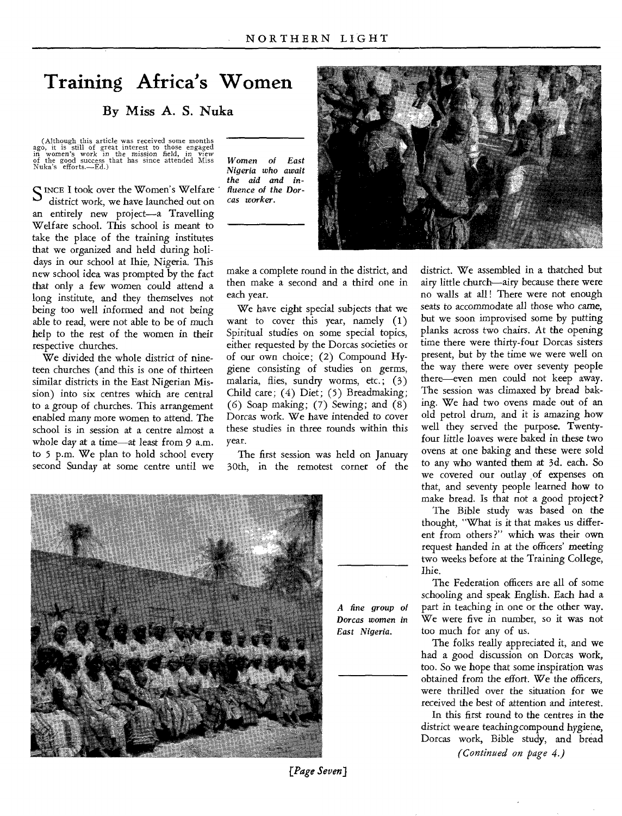### **Training Africa's Women**

#### By Miss A. S. Nuka

(Although this article was received some months ago, it is still of great interest to those engaged in women's work in the mission field, in view of the good success that has since attended Miss Nuka's efforts.—Ed.)

SINCE I took over the Women's Welfare district work, we have launched out on an entirely new project—a Travelling Welfare school. This school is meant to take the place of the training institutes that we organized and held during holidays in our school at Ihie, Nigeria. This new school idea was prompted by the fact that only a few women could attend a long institute, and they themselves not being too well informed and not being able to read, were not able to be of much help to the rest of the women in their respective churches.

We divided the whole district of nineteen churches (and this is one of thirteen similar districts in the East Nigerian Mission) into six centres which are central to a group of churches. This arrangement enabled many more women to attend. The school is in session at a centre almost a whole day at a time—at least from 9 a.m. to 5 p.m. We plan to hold school every second Sunday at some centre until we

*Women of East Nigeria who await the aid and influence of the Dorcas worker.* 

make a complete round in the district, and then make a second and a third one in each year.

We have eight special subjects that we want to cover this year, namely (1) Spiritual studies on some special topics, either requested by the Dorcas societies or of our own choice; (2) Compound Hygiene consisting of studies on germs, malaria, flies, sundry worms, etc.; (3) Child care; (4) Diet; (5) Breadmaking; (6) Soap making; (7) Sewing; and (8) Dorcas work. We have intended to cover these studies in three rounds within this year.

The first session was held on January 30th, in the remotest corner of the



*A fine group of Dorcas women in East Nigeria.* 



district. We assembled in a thatched but airy little church—airy because there were no walls at all! There were not enough seats to accommodate all those who came, but we soon improvised some by putting planks across two chairs. At the opening time there were thirty-four Dorcas sisters present, but by the time we were well on the way there were over seventy people there—even men could not keep away. The session was climaxed by bread baking. We had two ovens made out of an old petrol drum, and it is amazing how well they served the purpose. Twentyfour little *loaves* were baked in these two ovens at one baking and these were sold to any who wanted them at 3d. each. So we covered our outlay of expenses on that, and seventy people learned how to make bread. Is that not a good project?

The Bible study was based on the thought, "What is it that makes us different from others ?" which was their own request handed in at the officers' meeting two weeks before at the Training College, Ihie.

The Federation officers are all of some schooling and speak English. Each had a part in teaching in one or the other way. We were five in number, so it was not too much for any of us.

The folks really appreciated it, and we had a good discussion on Dorcas work, too. So we hope that some inspiration was obtained from the effort. We the officers, were thrilled over the situation for we received *the* best of attention and interest.

In this first round to the centres in the district we are teaching compound hygiene, Dorcas work, Bible study, and bread

*(Continued on page 4.)* 

*[Page Seven)*